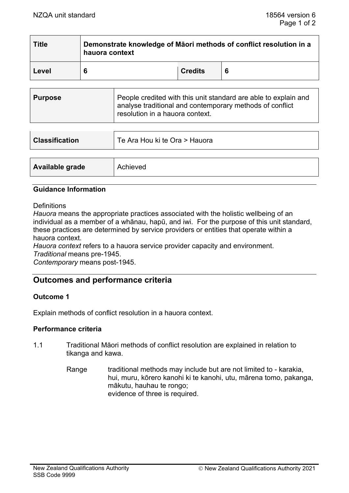| <b>Title</b> | Demonstrate knowledge of Maori methods of conflict resolution in a<br>hauora context |                |  |  |
|--------------|--------------------------------------------------------------------------------------|----------------|--|--|
| Level        | 6                                                                                    | <b>Credits</b> |  |  |

| <b>Purpose</b> | People credited with this unit standard are able to explain and<br>analyse traditional and contemporary methods of conflict<br>resolution in a hauora context. |
|----------------|----------------------------------------------------------------------------------------------------------------------------------------------------------------|
|----------------|----------------------------------------------------------------------------------------------------------------------------------------------------------------|

| <b>Classification</b> | Te Ara Hou ki te Ora > Hauora |  |
|-----------------------|-------------------------------|--|
|                       |                               |  |
| Available grade       | Achieved                      |  |

### **Guidance Information**

**Definitions** 

*Hauora* means the appropriate practices associated with the holistic wellbeing of an individual as a member of a whānau, hapū, and iwi. For the purpose of this unit standard, these practices are determined by service providers or entities that operate within a hauora context.

*Hauora context* refers to a hauora service provider capacity and environment. *Traditional* means pre-1945.

*Contemporary* means post-1945.

# **Outcomes and performance criteria**

# **Outcome 1**

Explain methods of conflict resolution in a hauora context.

# **Performance criteria**

- 1.1 Traditional Māori methods of conflict resolution are explained in relation to tikanga and kawa.
	- Range traditional methods may include but are not limited to karakia, hui, muru, kōrero kanohi ki te kanohi, utu, mārena tomo, pakanga, mākutu, hauhau te rongo; evidence of three is required.